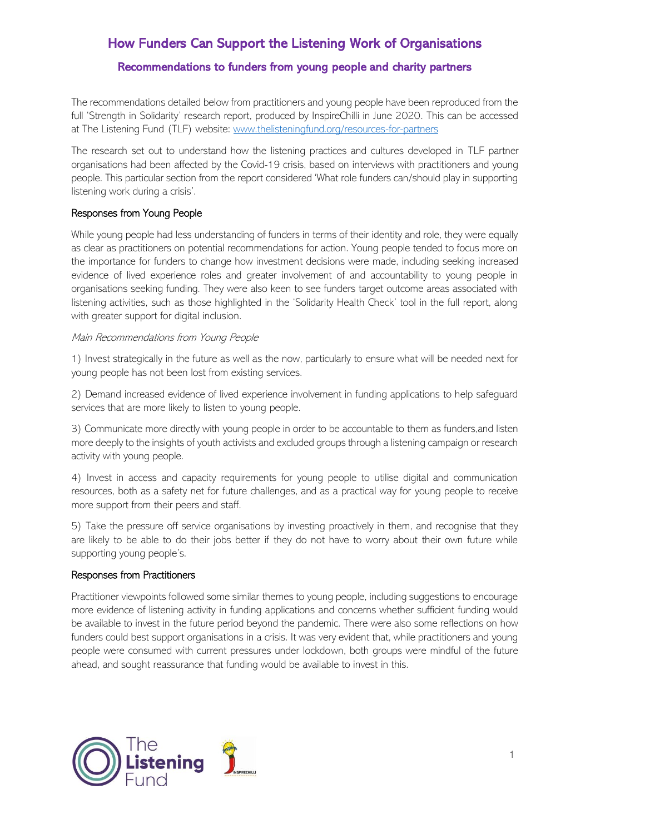# How Funders Can Support the Listening Work of Organisations

## Recommendations to funders from young people and charity partners

The recommendations detailed below from practitioners and young people have been reproduced from the full 'Strength in Solidarity' research report, produced by InspireChilli in June 2020. This can be accessed at The Listening Fund (TLF) website: www.thelisteningfund.org/resources-for-partners

The research set out to understand how the listening practices and cultures developed in TLF partner organisations had been affected by the Covid-19 crisis, based on interviews with practitioners and young people. This particular section from the report considered 'What role funders can/should play in supporting listening work during a crisis'.

### Responses from Young People

While young people had less understanding of funders in terms of their identity and role, they were equally as clear as practitioners on potential recommendations for action. Young people tended to focus more on the importance for funders to change how investment decisions were made, including seeking increased evidence of lived experience roles and greater involvement of and accountability to young people in organisations seeking funding. They were also keen to see funders target outcome areas associated with listening activities, such as those highlighted in the 'Solidarity Health Check' tool in the full report, along with greater support for digital inclusion.

#### Main Recommendations from Young People

1) Invest strategically in the future as well as the now, particularly to ensure what will be needed next for young people has not been lost from existing services.

2) Demand increased evidence of lived experience involvement in funding applications to help safeguard services that are more likely to listen to young people.

3) Communicate more directly with young people in order to be accountable to them as funders,and listen more deeply to the insights of youth activists and excluded groups through a listening campaign or research activity with young people.

4) Invest in access and capacity requirements for young people to utilise digital and communication resources, both as a safety net for future challenges, and as a practical way for young people to receive more support from their peers and staff.

5) Take the pressure off service organisations by investing proactively in them, and recognise that they are likely to be able to do their jobs better if they do not have to worry about their own future while supporting young people's.

#### Responses from Practitioners

Practitioner viewpoints followed some similar themes to young people, including suggestions to encourage more evidence of listening activity in funding applications and concerns whether sufficient funding would be available to invest in the future period beyond the pandemic. There were also some reflections on how funders could best support organisations in a crisis. It was very evident that, while practitioners and young people were consumed with current pressures under lockdown, both groups were mindful of the future ahead, and sought reassurance that funding would be available to invest in this.